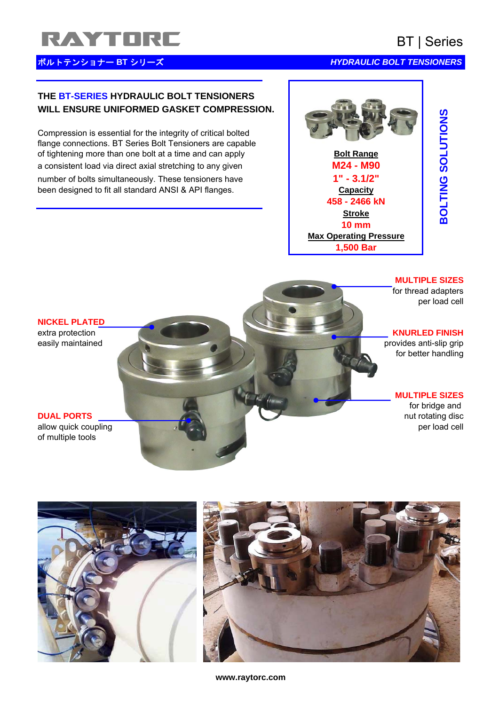# RAYTORE BT | Series

# <mark>ボルトテンショナー BT シリーズ</mark> インター・コンピューター インター HYDRAULIC BOLT TENSIONERS

## **THE BT-SERIES HYDRAULIC BOLT TENSIONERS WILL ENSURE UNIFORMED GASKET COMPRESSION.**

Compression is essential for the integrity of critical bolted flange connections. BT Series Bolt Tensioners are capable of tightening more than one bolt at a time and can apply **Bolt Range** a consistent load via direct axial stretching to any given **M24 - M90** number of bolts simultaneously. These tensioners have **1' 1'** - 3.1/2" been designed to fit all standard ANSI & API flanges.



### **MULTIPLE SIZES**

for thread adapters per load cell

# extra protection **KNURLED FINISH**

easily maintained provides anti-slip grip for better handling

### **MULTIPLE SIZES**

for bridge and **DUAL PORTS** nut rotating disc

### **NICKEL PLATED**

allow quick coupling per load cell be a perfect of the perfect of the perfect of the perfect of the perfect of the perfect of the perfect of the perfect of the perfect of the perfect of the perfect of the perfect of the pe of multiple tools